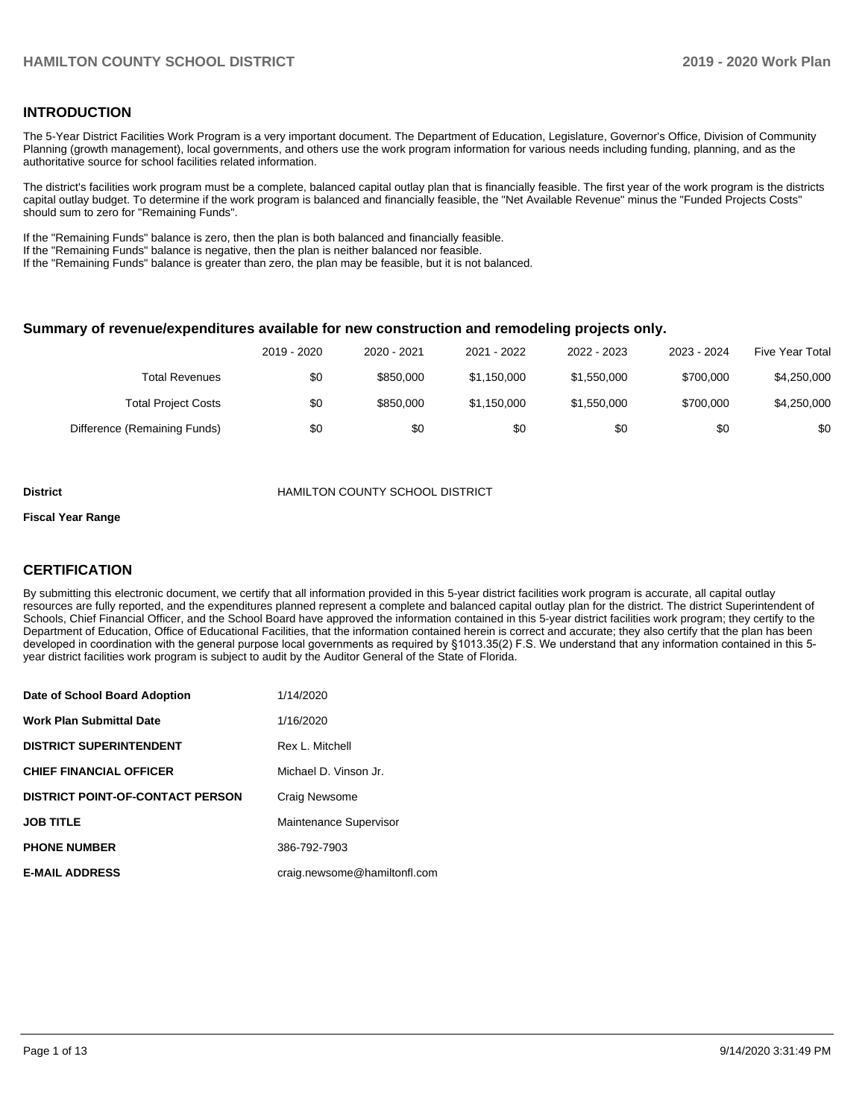## **INTRODUCTION**

The 5-Year District Facilities Work Program is a very important document. The Department of Education, Legislature, Governor's Office, Division of Community Planning (growth management), local governments, and others use the work program information for various needs including funding, planning, and as the authoritative source for school facilities related information.

The district's facilities work program must be a complete, balanced capital outlay plan that is financially feasible. The first year of the work program is the districts capital outlay budget. To determine if the work program is balanced and financially feasible, the "Net Available Revenue" minus the "Funded Projects Costs" should sum to zero for "Remaining Funds".

If the "Remaining Funds" balance is zero, then the plan is both balanced and financially feasible.

If the "Remaining Funds" balance is negative, then the plan is neither balanced nor feasible.

If the "Remaining Funds" balance is greater than zero, the plan may be feasible, but it is not balanced.

#### **Summary of revenue/expenditures available for new construction and remodeling projects only.**

|                              | 2019 - 2020 | 2020 - 2021 | 2021 - 2022 | 2022 - 2023 | 2023 - 2024 | <b>Five Year Total</b> |
|------------------------------|-------------|-------------|-------------|-------------|-------------|------------------------|
| <b>Total Revenues</b>        | \$0         | \$850,000   | \$1,150,000 | \$1,550,000 | \$700,000   | \$4,250,000            |
| <b>Total Project Costs</b>   | \$0         | \$850,000   | \$1,150,000 | \$1,550,000 | \$700,000   | \$4,250,000            |
| Difference (Remaining Funds) | \$0         | \$0         | \$0         | \$0         | \$0         | \$0                    |

#### **District** HAMILTON COUNTY SCHOOL DISTRICT

#### **Fiscal Year Range**

## **CERTIFICATION**

By submitting this electronic document, we certify that all information provided in this 5-year district facilities work program is accurate, all capital outlay resources are fully reported, and the expenditures planned represent a complete and balanced capital outlay plan for the district. The district Superintendent of Schools, Chief Financial Officer, and the School Board have approved the information contained in this 5-year district facilities work program; they certify to the Department of Education, Office of Educational Facilities, that the information contained herein is correct and accurate; they also certify that the plan has been developed in coordination with the general purpose local governments as required by §1013.35(2) F.S. We understand that any information contained in this 5 year district facilities work program is subject to audit by the Auditor General of the State of Florida.

| Date of School Board Adoption           | 1/14/2020                    |
|-----------------------------------------|------------------------------|
| Work Plan Submittal Date                | 1/16/2020                    |
| <b>DISTRICT SUPERINTENDENT</b>          | Rex L. Mitchell              |
| <b>CHIEF FINANCIAL OFFICER</b>          | Michael D. Vinson Jr.        |
| <b>DISTRICT POINT-OF-CONTACT PERSON</b> | Craig Newsome                |
| JOB TITLE                               | Maintenance Supervisor       |
| <b>PHONE NUMBER</b>                     | 386-792-7903                 |
| <b>E-MAIL ADDRESS</b>                   | craig.newsome@hamiltonfl.com |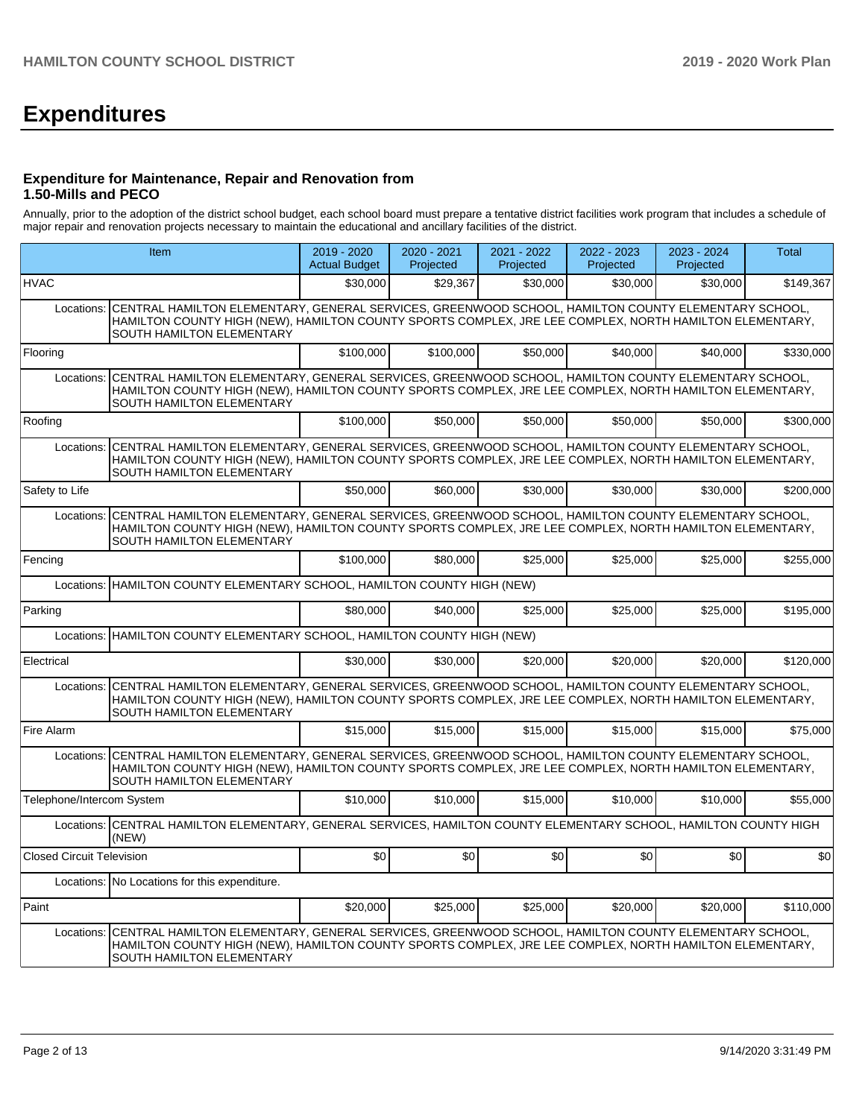# **Expenditures**

## **Expenditure for Maintenance, Repair and Renovation from 1.50-Mills and PECO**

Annually, prior to the adoption of the district school budget, each school board must prepare a tentative district facilities work program that includes a schedule of major repair and renovation projects necessary to maintain the educational and ancillary facilities of the district.

|                                  | Item                                                                                                                                                                                                                                        |           | 2020 - 2021<br>Projected | 2021 - 2022<br>Projected | 2022 - 2023<br>Projected | 2023 - 2024<br>Projected | <b>Total</b> |  |
|----------------------------------|---------------------------------------------------------------------------------------------------------------------------------------------------------------------------------------------------------------------------------------------|-----------|--------------------------|--------------------------|--------------------------|--------------------------|--------------|--|
| <b>HVAC</b>                      |                                                                                                                                                                                                                                             | \$30,000  | \$29,367                 | \$30,000                 | \$30,000                 | \$30,000                 | \$149,367    |  |
| Locations:                       | CENTRAL HAMILTON ELEMENTARY, GENERAL SERVICES, GREENWOOD SCHOOL, HAMILTON COUNTY ELEMENTARY SCHOOL,<br>HAMILTON COUNTY HIGH (NEW), HAMILTON COUNTY SPORTS COMPLEX, JRE LEE COMPLEX, NORTH HAMILTON ELEMENTARY,<br>SOUTH HAMILTON ELEMENTARY |           |                          |                          |                          |                          |              |  |
| Flooring                         |                                                                                                                                                                                                                                             | \$100,000 | \$100,000                | \$50,000                 | \$40,000                 | \$40.000                 | \$330,000    |  |
| Locations:                       | CENTRAL HAMILTON ELEMENTARY, GENERAL SERVICES, GREENWOOD SCHOOL, HAMILTON COUNTY ELEMENTARY SCHOOL,<br>HAMILTON COUNTY HIGH (NEW), HAMILTON COUNTY SPORTS COMPLEX, JRE LEE COMPLEX, NORTH HAMILTON ELEMENTARY,<br>SOUTH HAMILTON ELEMENTARY |           |                          |                          |                          |                          |              |  |
| Roofing                          |                                                                                                                                                                                                                                             | \$100,000 | \$50,000                 | \$50,000                 | \$50,000                 | \$50,000                 | \$300,000    |  |
| Locations:                       | CENTRAL HAMILTON ELEMENTARY, GENERAL SERVICES, GREENWOOD SCHOOL, HAMILTON COUNTY ELEMENTARY SCHOOL,<br>HAMILTON COUNTY HIGH (NEW), HAMILTON COUNTY SPORTS COMPLEX, JRE LEE COMPLEX, NORTH HAMILTON ELEMENTARY,<br>SOUTH HAMILTON ELEMENTARY |           |                          |                          |                          |                          |              |  |
| Safety to Life                   |                                                                                                                                                                                                                                             | \$50,000  | \$60,000                 | \$30,000                 | \$30,000                 | \$30,000                 | \$200,000    |  |
| Locations:                       | CENTRAL HAMILTON ELEMENTARY, GENERAL SERVICES, GREENWOOD SCHOOL, HAMILTON COUNTY ELEMENTARY SCHOOL,<br>HAMILTON COUNTY HIGH (NEW), HAMILTON COUNTY SPORTS COMPLEX, JRE LEE COMPLEX, NORTH HAMILTON ELEMENTARY,<br>SOUTH HAMILTON ELEMENTARY |           |                          |                          |                          |                          |              |  |
| Fencing                          |                                                                                                                                                                                                                                             | \$100,000 | \$80,000                 | \$25.000                 | \$25,000                 | \$25,000                 | \$255,000    |  |
|                                  | Locations: HAMILTON COUNTY ELEMENTARY SCHOOL, HAMILTON COUNTY HIGH (NEW)                                                                                                                                                                    |           |                          |                          |                          |                          |              |  |
| Parking                          |                                                                                                                                                                                                                                             | \$80,000  | \$40,000                 | \$25,000                 | \$25,000                 | \$25,000                 | \$195,000    |  |
| Locations:                       | HAMILTON COUNTY ELEMENTARY SCHOOL, HAMILTON COUNTY HIGH (NEW)                                                                                                                                                                               |           |                          |                          |                          |                          |              |  |
| Electrical                       |                                                                                                                                                                                                                                             | \$30,000  | \$30,000                 | \$20,000                 | \$20,000                 | \$20,000                 | \$120,000    |  |
| Locations:                       | CENTRAL HAMILTON ELEMENTARY, GENERAL SERVICES, GREENWOOD SCHOOL, HAMILTON COUNTY ELEMENTARY SCHOOL,<br>HAMILTON COUNTY HIGH (NEW), HAMILTON COUNTY SPORTS COMPLEX, JRE LEE COMPLEX, NORTH HAMILTON ELEMENTARY,<br>SOUTH HAMILTON ELEMENTARY |           |                          |                          |                          |                          |              |  |
| Fire Alarm                       |                                                                                                                                                                                                                                             | \$15,000  | \$15,000                 | \$15,000                 | \$15,000                 | \$15,000                 | \$75,000     |  |
| Locations:                       | CENTRAL HAMILTON ELEMENTARY, GENERAL SERVICES, GREENWOOD SCHOOL, HAMILTON COUNTY ELEMENTARY SCHOOL,<br>HAMILTON COUNTY HIGH (NEW), HAMILTON COUNTY SPORTS COMPLEX, JRE LEE COMPLEX, NORTH HAMILTON ELEMENTARY,<br>SOUTH HAMILTON ELEMENTARY |           |                          |                          |                          |                          |              |  |
| Telephone/Intercom System        |                                                                                                                                                                                                                                             | \$10,000  | \$10,000                 | \$15,000                 | \$10,000                 | \$10.000                 | \$55,000     |  |
|                                  | Locations: CENTRAL HAMILTON ELEMENTARY, GENERAL SERVICES, HAMILTON COUNTY ELEMENTARY SCHOOL, HAMILTON COUNTY HIGH<br>(NEW)                                                                                                                  |           |                          |                          |                          |                          |              |  |
| <b>Closed Circuit Television</b> |                                                                                                                                                                                                                                             | \$0       | \$0                      | \$0                      | \$0                      | \$0                      | \$0          |  |
|                                  | Locations: No Locations for this expenditure.                                                                                                                                                                                               |           |                          |                          |                          |                          |              |  |
| Paint                            |                                                                                                                                                                                                                                             | \$20,000  | \$25,000                 | \$25,000                 | \$20,000                 | \$20,000                 | \$110,000    |  |
| Locations:                       | CENTRAL HAMILTON ELEMENTARY, GENERAL SERVICES, GREENWOOD SCHOOL, HAMILTON COUNTY ELEMENTARY SCHOOL,<br>HAMILTON COUNTY HIGH (NEW), HAMILTON COUNTY SPORTS COMPLEX, JRE LEE COMPLEX, NORTH HAMILTON ELEMENTARY,<br>SOUTH HAMILTON ELEMENTARY |           |                          |                          |                          |                          |              |  |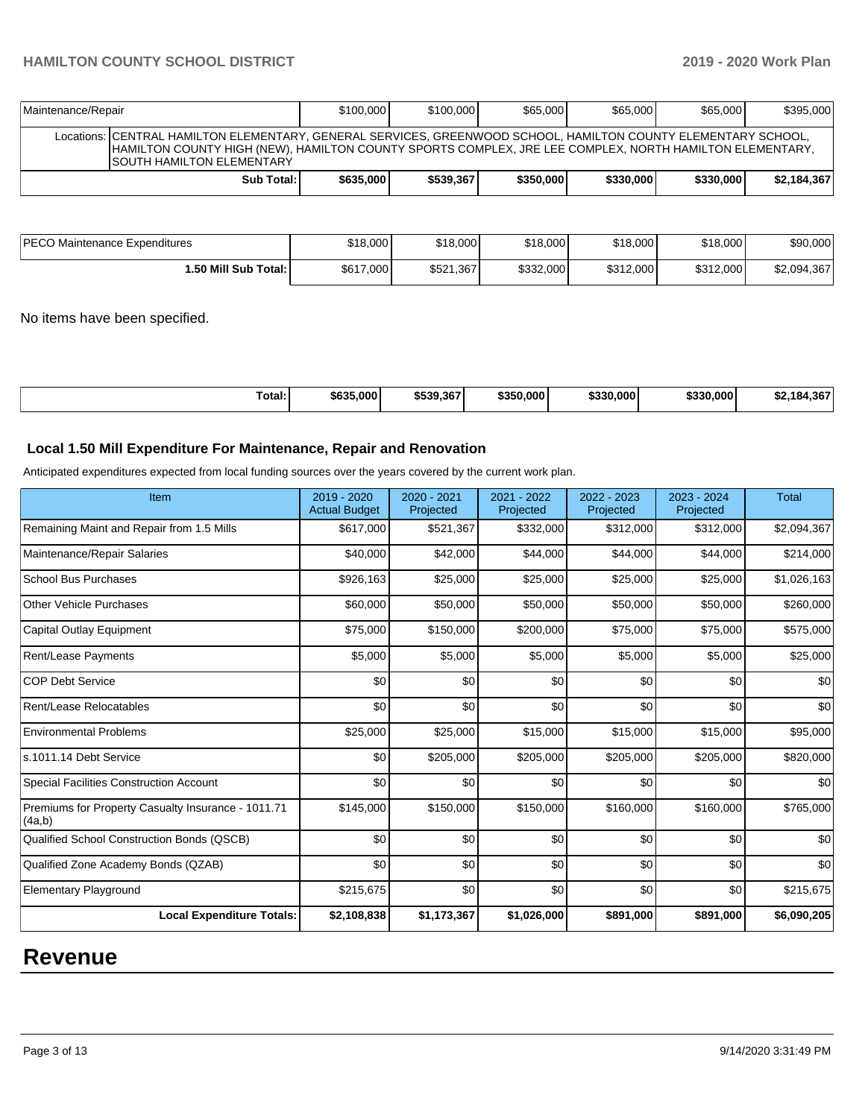| Maintenance/Repair                                                                                                                                                                                                                                             | \$100,000 | \$100,000 | \$65,000 | \$65,000 | \$65,000 | \$395,000 |
|----------------------------------------------------------------------------------------------------------------------------------------------------------------------------------------------------------------------------------------------------------------|-----------|-----------|----------|----------|----------|-----------|
| Locations: CENTRAL HAMILTON ELEMENTARY, GENERAL SERVICES, GREENWOOD SCHOOL, HAMILTON COUNTY ELEMENTARY SCHOOL,<br>HAMILTON COUNTY HIGH (NEW). HAMILTON COUNTY SPORTS COMPLEX. JRE LEE COMPLEX. NORTH HAMILTON ELEMENTARY.<br><b>ISOUTH HAMILTON ELEMENTARY</b> |           |           |          |          |          |           |
| \$330,000<br>\$539.367<br>\$350,000<br>\$330,000<br>Sub Total: I<br>\$635,000                                                                                                                                                                                  |           |           |          |          |          |           |

| PECO Maintenance Expenditures | \$18,000  | \$18,000  | \$18,000  | \$18,000  | \$18,000  | \$90,000    |
|-------------------------------|-----------|-----------|-----------|-----------|-----------|-------------|
| I.50 Mill Sub Total: I        | \$617,000 | \$521,367 | \$332,000 | \$312,000 | \$312,000 | \$2,094,367 |

No items have been specified.

| \$635,000<br>\$539.367<br>enna.<br>ا000.000 ن<br>\$350,000<br>\$330.000<br>$-18$<br>Total: |
|--------------------------------------------------------------------------------------------|
|--------------------------------------------------------------------------------------------|

## **Local 1.50 Mill Expenditure For Maintenance, Repair and Renovation**

Anticipated expenditures expected from local funding sources over the years covered by the current work plan.

| Item                                                         | 2019 - 2020<br><b>Actual Budget</b> | 2020 - 2021<br>Projected | 2021 - 2022<br>Projected | 2022 - 2023<br>Projected | 2023 - 2024<br>Projected | <b>Total</b> |
|--------------------------------------------------------------|-------------------------------------|--------------------------|--------------------------|--------------------------|--------------------------|--------------|
| Remaining Maint and Repair from 1.5 Mills                    | \$617,000                           | \$521,367                | \$332,000                | \$312,000                | \$312,000                | \$2,094,367  |
| Maintenance/Repair Salaries                                  | \$40,000                            | \$42,000                 | \$44,000                 | \$44,000                 | \$44,000                 | \$214,000    |
| <b>School Bus Purchases</b>                                  | \$926,163                           | \$25,000                 | \$25,000                 | \$25,000                 | \$25,000                 | \$1,026,163  |
| <b>Other Vehicle Purchases</b>                               | \$60,000                            | \$50,000                 | \$50,000                 | \$50,000                 | \$50,000                 | \$260,000    |
| <b>Capital Outlay Equipment</b>                              | \$75,000                            | \$150,000                | \$200,000                | \$75,000                 | \$75,000                 | \$575,000    |
| <b>Rent/Lease Payments</b>                                   | \$5,000                             | \$5,000                  | \$5,000                  | \$5,000                  | \$5,000                  | \$25,000     |
| <b>COP Debt Service</b>                                      | \$0                                 | \$0                      | \$0                      | \$0                      | \$0                      | \$0          |
| Rent/Lease Relocatables                                      | \$0                                 | \$0                      | \$0                      | \$0                      | \$0                      | \$0          |
| <b>Environmental Problems</b>                                | \$25,000                            | \$25,000                 | \$15,000                 | \$15,000                 | \$15,000                 | \$95,000     |
| s.1011.14 Debt Service                                       | \$0                                 | \$205,000                | \$205,000                | \$205,000                | \$205,000                | \$820,000    |
| <b>Special Facilities Construction Account</b>               | \$0                                 | \$0                      | \$0                      | \$0                      | \$0                      | \$0          |
| Premiums for Property Casualty Insurance - 1011.71<br>(4a,b) | \$145,000                           | \$150,000                | \$150,000                | \$160,000                | \$160,000                | \$765,000    |
| Qualified School Construction Bonds (QSCB)                   | \$0                                 | \$0                      | \$0                      | \$0                      | \$0                      | \$0          |
| Qualified Zone Academy Bonds (QZAB)                          | \$0                                 | \$0                      | \$0                      | \$0                      | \$0                      | \$0          |
| <b>Elementary Playground</b>                                 | \$215,675                           | \$0                      | \$0                      | \$0                      | \$0                      | \$215,675    |
| <b>Local Expenditure Totals:</b>                             | \$2,108,838                         | \$1,173,367              | \$1,026,000              | \$891,000                | \$891,000                | \$6,090,205  |

## **Revenue**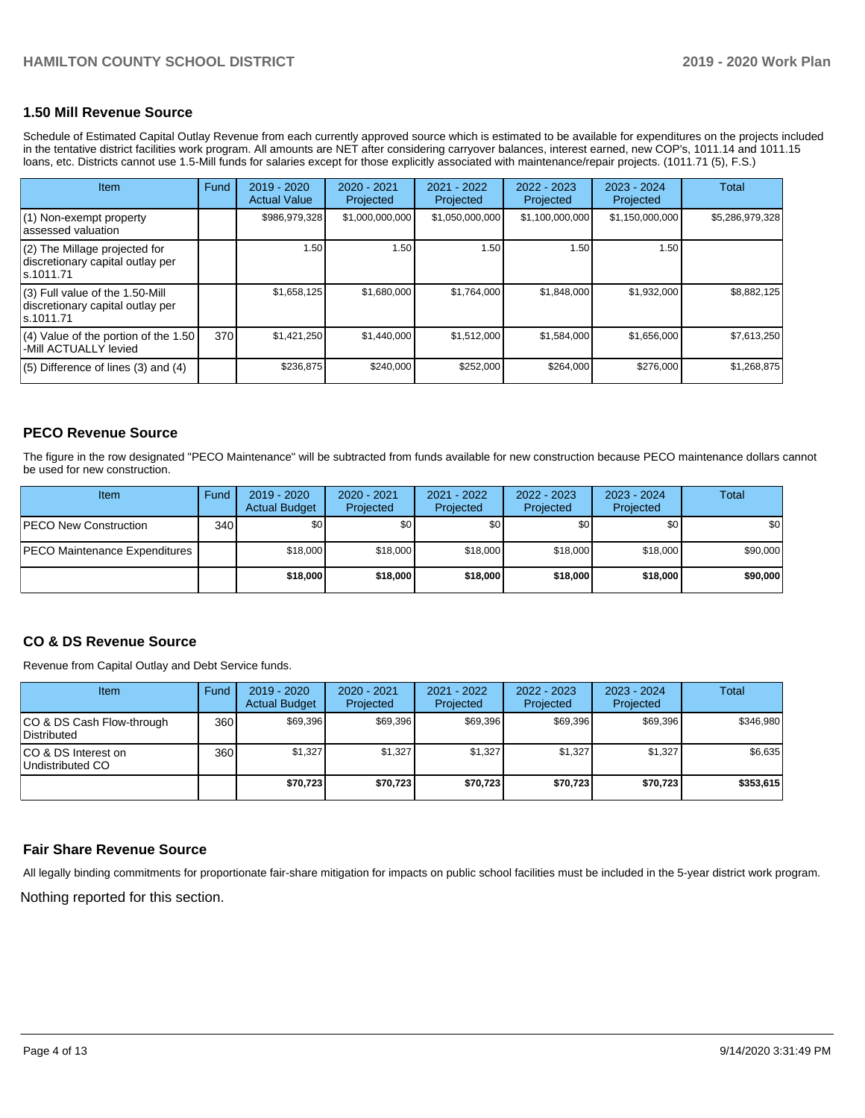#### **1.50 Mill Revenue Source**

Schedule of Estimated Capital Outlay Revenue from each currently approved source which is estimated to be available for expenditures on the projects included in the tentative district facilities work program. All amounts are NET after considering carryover balances, interest earned, new COP's, 1011.14 and 1011.15 loans, etc. Districts cannot use 1.5-Mill funds for salaries except for those explicitly associated with maintenance/repair projects. (1011.71 (5), F.S.)

| <b>Item</b>                                                                         | Fund | 2019 - 2020<br><b>Actual Value</b> | $2020 - 2021$<br>Projected | 2021 - 2022<br>Projected | $2022 - 2023$<br>Projected | $2023 - 2024$<br>Projected | Total           |
|-------------------------------------------------------------------------------------|------|------------------------------------|----------------------------|--------------------------|----------------------------|----------------------------|-----------------|
| (1) Non-exempt property<br>lassessed valuation                                      |      | \$986,979,328                      | \$1,000,000,000            | \$1,050,000,000          | \$1,100,000,000            | \$1,150,000,000            | \$5,286,979,328 |
| $(2)$ The Millage projected for<br>discretionary capital outlay per<br>ls.1011.71   |      | 1.50                               | 1.50                       | 1.50                     | 1.50                       | 1.50                       |                 |
| $(3)$ Full value of the 1.50-Mill<br>discretionary capital outlay per<br>ls.1011.71 |      | \$1,658,125                        | \$1,680,000                | \$1,764,000              | \$1,848,000                | \$1,932,000                | \$8.882.125     |
| $(4)$ Value of the portion of the 1.50<br>-Mill ACTUALLY levied                     | 370  | \$1,421,250                        | \$1,440,000                | \$1,512,000              | \$1,584,000                | \$1,656,000                | \$7,613,250     |
| $(5)$ Difference of lines $(3)$ and $(4)$                                           |      | \$236,875                          | \$240,000                  | \$252,000                | \$264,000                  | \$276,000                  | \$1,268,875     |

## **PECO Revenue Source**

The figure in the row designated "PECO Maintenance" will be subtracted from funds available for new construction because PECO maintenance dollars cannot be used for new construction.

| <b>Item</b>                          | Fund         | $2019 - 2020$<br><b>Actual Budget</b> | $2020 - 2021$<br>Projected | 2021 - 2022<br>Projected | 2022 - 2023<br>Projected | 2023 - 2024<br>Projected | Total            |
|--------------------------------------|--------------|---------------------------------------|----------------------------|--------------------------|--------------------------|--------------------------|------------------|
| <b>IPECO New Construction</b>        | 340 <b>I</b> | \$0                                   | \$0                        | \$0                      | \$0                      | \$0                      | \$0 <sub>1</sub> |
| <b>PECO Maintenance Expenditures</b> |              | \$18,000                              | \$18,000                   | \$18,000                 | \$18,000                 | \$18,000                 | \$90,000         |
|                                      |              | \$18,000                              | \$18,000                   | \$18,000                 | \$18,000                 | \$18,000                 | \$90,000         |

## **CO & DS Revenue Source**

Revenue from Capital Outlay and Debt Service funds.

| <b>Item</b>                                     | Fund | $2019 - 2020$<br><b>Actual Budget</b> | 2020 - 2021<br>Projected | 2021 - 2022<br>Projected | 2022 - 2023<br>Projected | $2023 - 2024$<br>Projected | Total     |
|-------------------------------------------------|------|---------------------------------------|--------------------------|--------------------------|--------------------------|----------------------------|-----------|
| CO & DS Cash Flow-through<br><b>Distributed</b> | 360  | \$69,396                              | \$69.396                 | \$69.396                 | \$69.396                 | \$69,396                   | \$346,980 |
| CO & DS Interest on<br>Undistributed CO         | 360  | \$1,327                               | \$1.327                  | \$1,327                  | \$1.327                  | \$1,327                    | \$6,635   |
|                                                 |      | \$70,723                              | \$70,723                 | \$70,723                 | \$70,723                 | \$70,723                   | \$353,615 |

## **Fair Share Revenue Source**

All legally binding commitments for proportionate fair-share mitigation for impacts on public school facilities must be included in the 5-year district work program.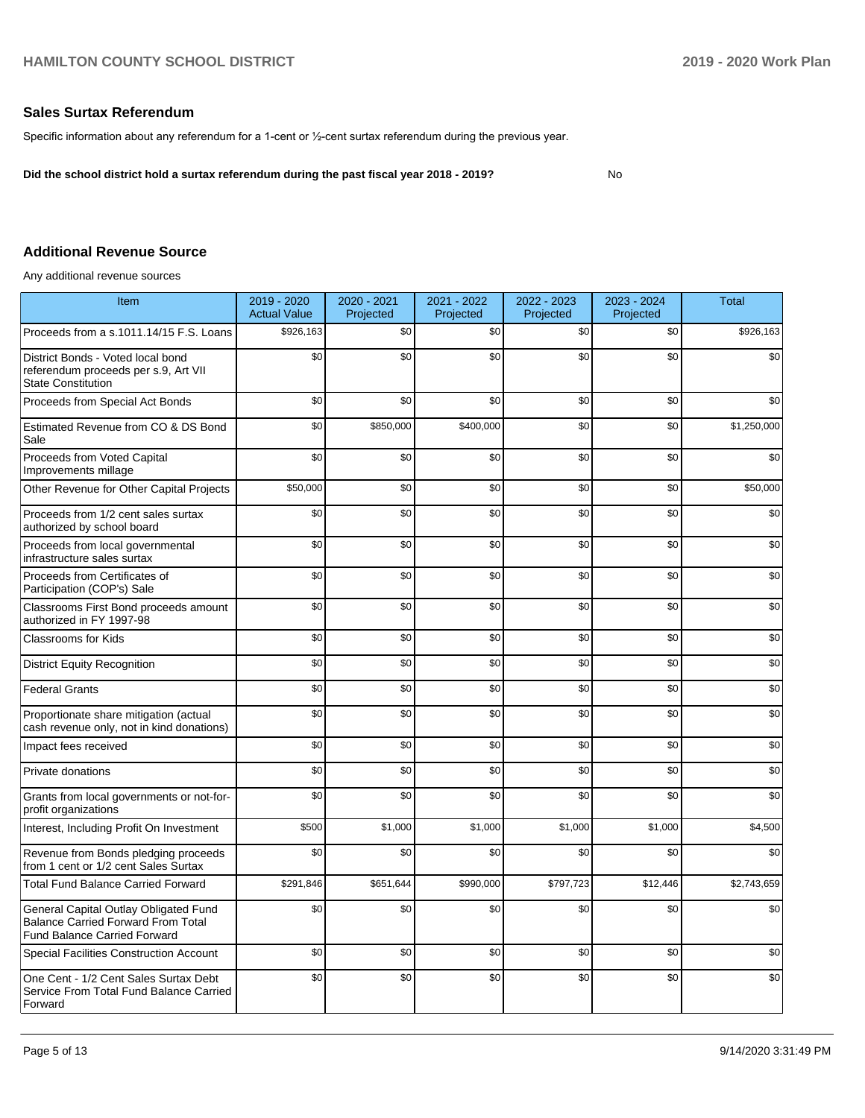## **Sales Surtax Referendum**

Specific information about any referendum for a 1-cent or ½-cent surtax referendum during the previous year.

**Did the school district hold a surtax referendum during the past fiscal year 2018 - 2019?**

No

## **Additional Revenue Source**

Any additional revenue sources

| <b>Item</b>                                                                                                               | 2019 - 2020<br><b>Actual Value</b> | 2020 - 2021<br>Projected | 2021 - 2022<br>Projected | 2022 - 2023<br>Projected | 2023 - 2024<br>Projected | <b>Total</b> |
|---------------------------------------------------------------------------------------------------------------------------|------------------------------------|--------------------------|--------------------------|--------------------------|--------------------------|--------------|
| Proceeds from a s.1011.14/15 F.S. Loans                                                                                   | \$926,163                          | \$0                      | \$0                      | \$0                      | \$0                      | \$926,163    |
| District Bonds - Voted local bond<br>referendum proceeds per s.9, Art VII<br><b>State Constitution</b>                    | \$0                                | \$0                      | \$0                      | \$0                      | \$0                      | \$0          |
| Proceeds from Special Act Bonds                                                                                           | \$0                                | \$0                      | \$0                      | \$0                      | \$0                      | \$0          |
| Estimated Revenue from CO & DS Bond<br>Sale                                                                               | \$0                                | \$850,000                | \$400,000                | \$0                      | \$0                      | \$1,250,000  |
| Proceeds from Voted Capital<br>Improvements millage                                                                       | \$0                                | \$0                      | \$0                      | \$0                      | \$0                      | \$0          |
| Other Revenue for Other Capital Projects                                                                                  | \$50,000                           | \$0                      | \$0                      | \$0                      | \$0                      | \$50,000     |
| Proceeds from 1/2 cent sales surtax<br>authorized by school board                                                         | \$0                                | \$0                      | \$0                      | \$0                      | \$0                      | \$0          |
| Proceeds from local governmental<br>infrastructure sales surtax                                                           | \$0                                | \$0                      | \$0                      | \$0                      | \$0                      | \$0          |
| Proceeds from Certificates of<br>Participation (COP's) Sale                                                               | \$0                                | \$0                      | \$0                      | \$0                      | \$0                      | \$0          |
| Classrooms First Bond proceeds amount<br>authorized in FY 1997-98                                                         | \$0                                | \$0                      | \$0                      | \$0                      | \$0                      | \$0          |
| Classrooms for Kids                                                                                                       | \$0                                | \$0                      | \$0                      | \$0                      | \$0                      | \$0          |
| <b>District Equity Recognition</b>                                                                                        | \$0                                | \$0                      | \$0                      | \$0                      | \$0                      | \$0          |
| <b>Federal Grants</b>                                                                                                     | \$0                                | \$0                      | \$0                      | \$0                      | \$0                      | \$0          |
| Proportionate share mitigation (actual<br>cash revenue only, not in kind donations)                                       | \$0                                | \$0                      | \$0                      | \$0                      | \$0                      | \$0          |
| Impact fees received                                                                                                      | \$0                                | \$0                      | \$0                      | \$0                      | \$0                      | \$0          |
| Private donations                                                                                                         | \$0                                | \$0                      | \$0                      | \$0                      | \$0                      | \$0          |
| Grants from local governments or not-for-<br>profit organizations                                                         | \$0                                | \$0                      | \$0                      | \$0                      | \$0                      | \$0          |
| Interest, Including Profit On Investment                                                                                  | \$500                              | \$1,000                  | \$1,000                  | \$1,000                  | \$1,000                  | \$4,500      |
| Revenue from Bonds pledging proceeds<br>from 1 cent or 1/2 cent Sales Surtax                                              | \$0                                | \$0                      | \$0                      | \$0                      | \$0                      | \$0          |
| <b>Total Fund Balance Carried Forward</b>                                                                                 | \$291,846                          | \$651,644                | \$990,000                | \$797,723                | \$12,446                 | \$2,743,659  |
| General Capital Outlay Obligated Fund<br><b>Balance Carried Forward From Total</b><br><b>Fund Balance Carried Forward</b> | \$0                                | \$0                      | \$0                      | \$0                      | \$0                      | \$0          |
| <b>Special Facilities Construction Account</b>                                                                            | \$0                                | \$0                      | \$0                      | \$0                      | \$0                      | \$0          |
| One Cent - 1/2 Cent Sales Surtax Debt<br>Service From Total Fund Balance Carried<br>Forward                               | \$0                                | \$0                      | \$0                      | \$0                      | \$0                      | \$0          |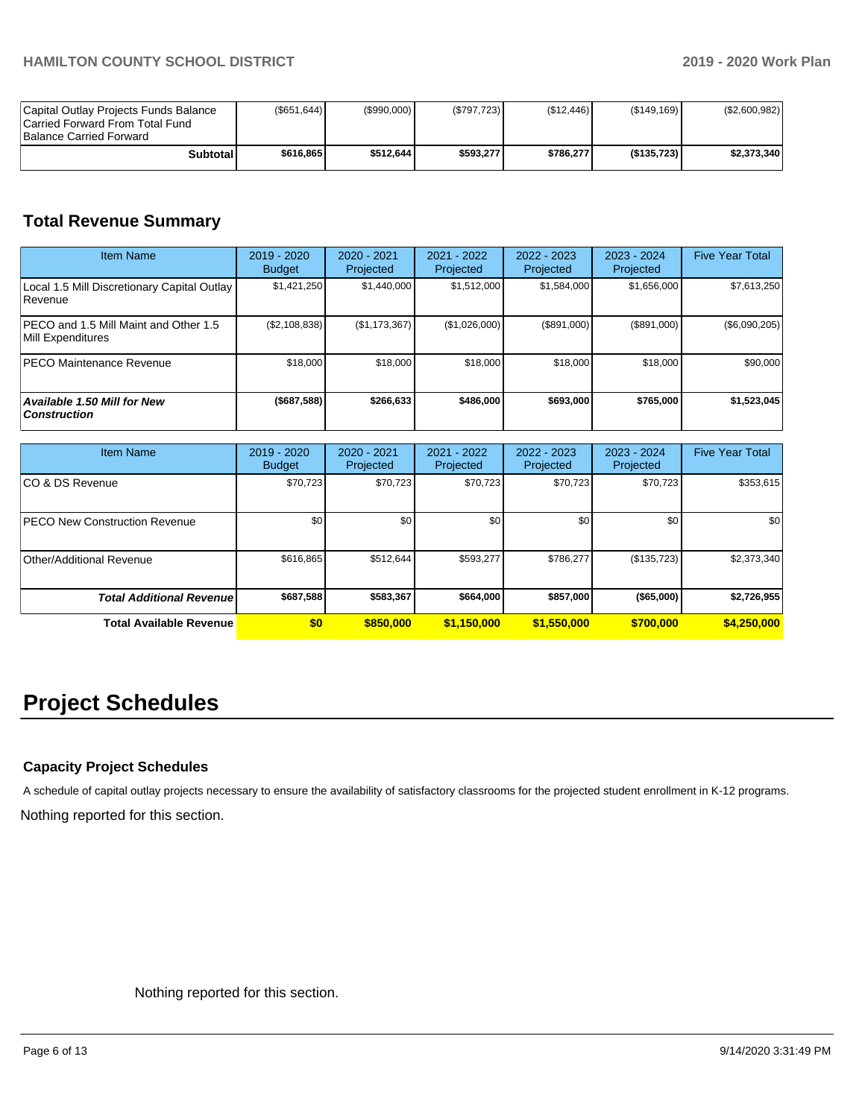| Capital Outlay Projects Funds Balance<br>ICarried Forward From Total Fund<br>Balance Carried Forward | (S651.644) | (S990.000) | (S797.723) | (S12.446) | (S149.169) | (S2,600,982) |
|------------------------------------------------------------------------------------------------------|------------|------------|------------|-----------|------------|--------------|
| Subtotall                                                                                            | \$616,865  | \$512.644  | \$593.277  | \$786.277 | (S135.723) | \$2,373,340  |

## **Total Revenue Summary**

| <b>Item Name</b>                                              | $2019 - 2020$<br><b>Budget</b> | $2020 - 2021$<br>Projected | 2021 - 2022<br>Projected | 2022 - 2023<br>Projected | $2023 - 2024$<br>Projected | <b>Five Year Total</b> |
|---------------------------------------------------------------|--------------------------------|----------------------------|--------------------------|--------------------------|----------------------------|------------------------|
| Local 1.5 Mill Discretionary Capital Outlay<br><b>Revenue</b> | \$1,421,250                    | \$1,440,000                | \$1,512,000              | \$1,584,000              | \$1,656,000                | \$7,613,250            |
| PECO and 1.5 Mill Maint and Other 1.5<br>Mill Expenditures    | (\$2,108,838)                  | (\$1,173,367)              | (\$1,026,000)            | (\$891,000)              | (\$891,000)                | (\$6,090,205)          |
| <b>PECO Maintenance Revenue</b>                               | \$18,000                       | \$18,000                   | \$18,000                 | \$18,000                 | \$18,000                   | \$90,000               |
| Available 1.50 Mill for New<br><b>Construction</b>            | (\$687,588)                    | \$266,633                  | \$486,000                | \$693,000                | \$765,000                  | \$1,523,045            |

| <b>Item Name</b>                     | 2019 - 2020<br><b>Budget</b> | 2020 - 2021<br>Projected | 2021 - 2022<br>Projected | 2022 - 2023<br>Projected | $2023 - 2024$<br>Projected | <b>Five Year Total</b> |
|--------------------------------------|------------------------------|--------------------------|--------------------------|--------------------------|----------------------------|------------------------|
| ICO & DS Revenue                     | \$70,723                     | \$70,723                 | \$70,723                 | \$70,723                 | \$70,723                   | \$353,615              |
| <b>PECO New Construction Revenue</b> | \$0                          | \$0 <sub>1</sub>         | \$0                      | \$0                      | \$0                        | \$0                    |
| Other/Additional Revenue             | \$616,865                    | \$512,644                | \$593,277                | \$786,277                | (\$135,723)                | \$2,373,340            |
| <b>Total Additional Revenue</b>      | \$687,588                    | \$583,367                | \$664,000                | \$857,000                | $($ \$65,000)              | \$2,726,955            |
| Total Available Revenue              | \$0                          | \$850,000                | \$1,150,000              | \$1,550,000              | \$700,000                  | \$4,250,000            |

# **Project Schedules**

## **Capacity Project Schedules**

Nothing reported for this section. A schedule of capital outlay projects necessary to ensure the availability of satisfactory classrooms for the projected student enrollment in K-12 programs.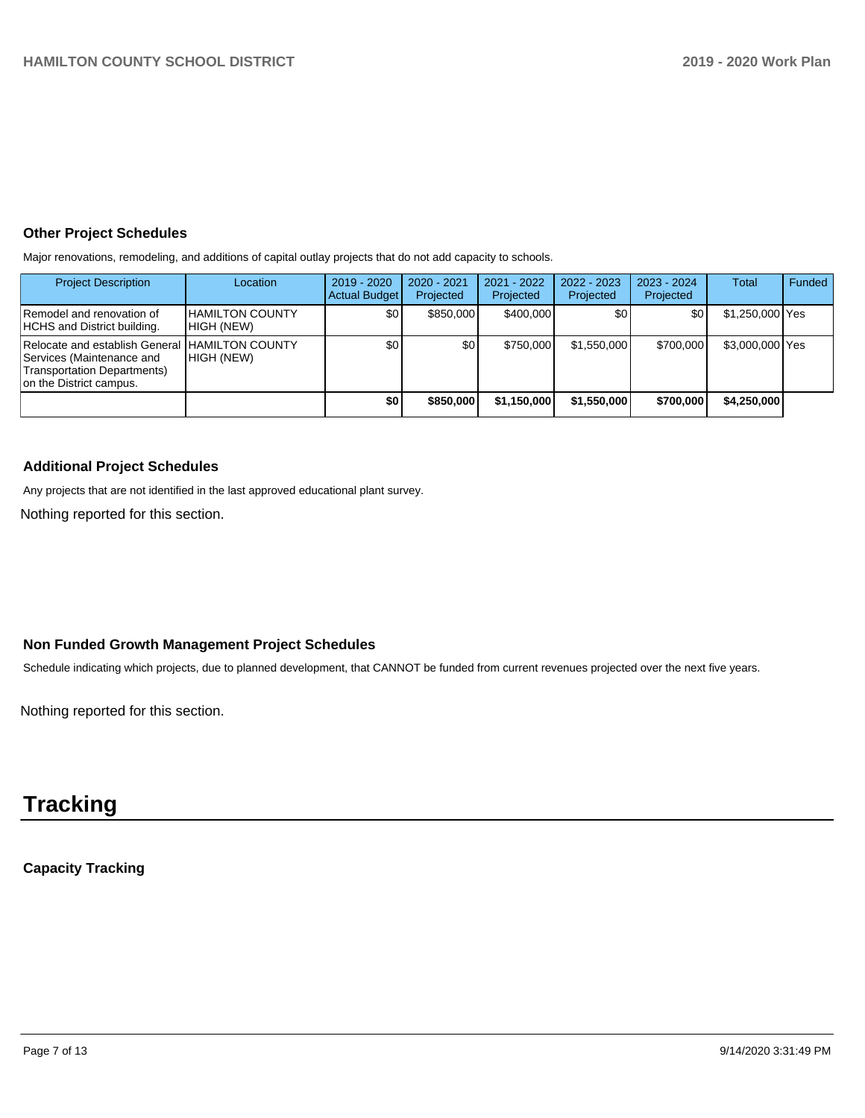## **Other Project Schedules**

Major renovations, remodeling, and additions of capital outlay projects that do not add capacity to schools.

| <b>Project Description</b>                                                                                                             | Location                             | 2019 - 2020<br><b>Actual Budget</b> | $2020 - 2021$<br>Projected | 2021 - 2022<br>Projected | $2022 - 2023$<br>Projected | $2023 - 2024$<br>Projected | Total           | Funded |
|----------------------------------------------------------------------------------------------------------------------------------------|--------------------------------------|-------------------------------------|----------------------------|--------------------------|----------------------------|----------------------------|-----------------|--------|
| Remodel and renovation of<br>HCHS and District building.                                                                               | <b>HAMILTON COUNTY</b><br>HIGH (NEW) | \$0                                 | \$850,000                  | \$400,000                | ا80                        | \$0                        | \$1,250,000 Yes |        |
| Relocate and establish General HAMILTON COUNTY<br>lServices (Maintenance and<br>Transportation Departments)<br>on the District campus. | HIGH (NEW)                           | \$0                                 | \$0 <sub>1</sub>           | \$750,000                | \$1.550.000                | \$700,000                  | \$3,000,000 Yes |        |
|                                                                                                                                        |                                      | \$0                                 | \$850,000                  | \$1,150,000              | \$1,550,000                | \$700,000                  | \$4,250,000     |        |

## **Additional Project Schedules**

Any projects that are not identified in the last approved educational plant survey.

Nothing reported for this section.

## **Non Funded Growth Management Project Schedules**

Schedule indicating which projects, due to planned development, that CANNOT be funded from current revenues projected over the next five years.

Nothing reported for this section.

# **Tracking**

**Capacity Tracking**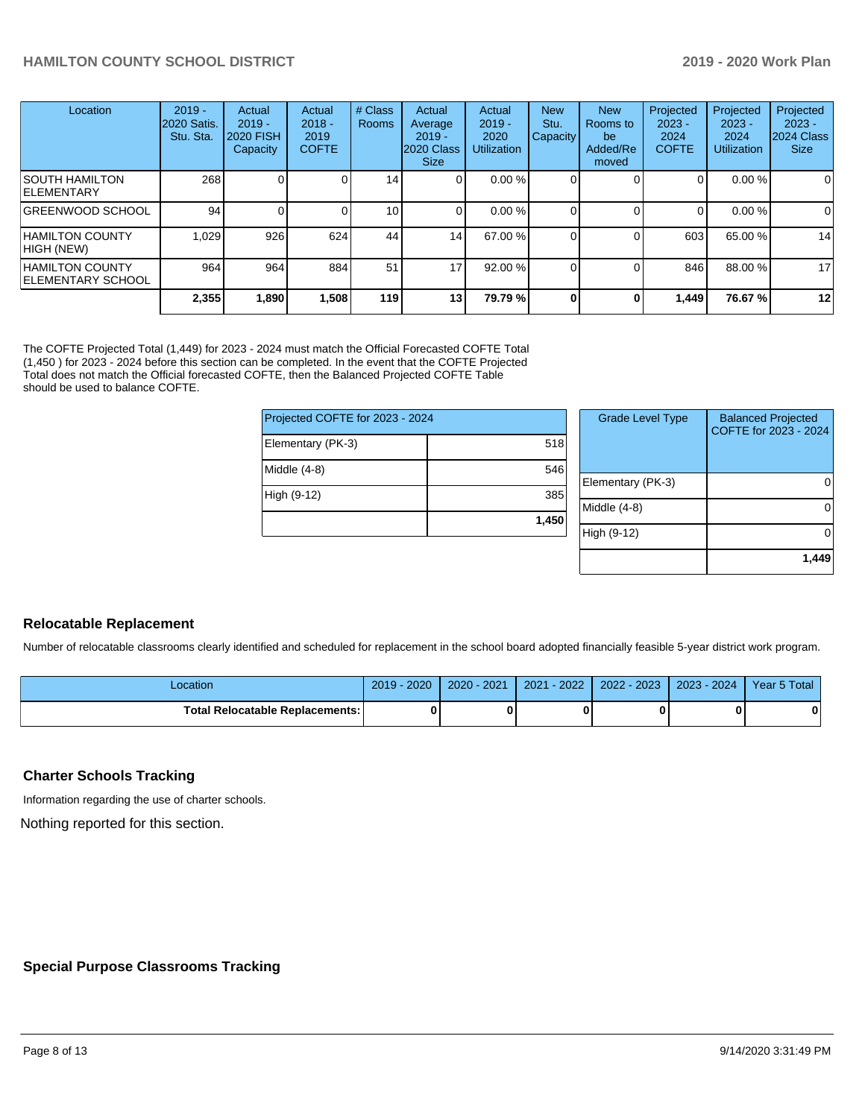| Location                                     | $2019 -$<br><b>2020 Satis.</b><br>Stu. Sta. | Actual<br>$2019 -$<br><b>2020 FISH</b><br>Capacity | Actual<br>$2018 -$<br>2019<br><b>COFTE</b> | # Class<br><b>Rooms</b> | Actual<br>Average<br>$2019 -$<br>2020 Class<br><b>Size</b> | Actual<br>$2019 -$<br>2020<br><b>Utilization</b> | <b>New</b><br>Stu.<br><b>Capacity</b> | <b>New</b><br>Rooms to<br>be<br>Added/Re<br>moved | Projected<br>$2023 -$<br>2024<br><b>COFTE</b> | Projected<br>$2023 -$<br>2024<br><b>Utilization</b> | Projected<br>$2023 -$<br>2024 Class<br><b>Size</b> |
|----------------------------------------------|---------------------------------------------|----------------------------------------------------|--------------------------------------------|-------------------------|------------------------------------------------------------|--------------------------------------------------|---------------------------------------|---------------------------------------------------|-----------------------------------------------|-----------------------------------------------------|----------------------------------------------------|
| ISOUTH HAMILTON<br>ELEMENTARY                | 268                                         |                                                    |                                            | 14                      | ΟI                                                         | 0.00%                                            |                                       |                                                   | 01                                            | 0.00%                                               | 0                                                  |
| GREENWOOD SCHOOL                             | 94                                          |                                                    |                                            | 10 <sup>1</sup>         |                                                            | 0.00%                                            |                                       |                                                   | $\Omega$                                      | 0.00%                                               | $\mathbf 0$                                        |
| <b>HAMILTON COUNTY</b><br>HIGH (NEW)         | 1.029                                       | 926                                                | 624                                        | 44                      | 14 <sup>1</sup>                                            | 67.00 %                                          |                                       |                                                   | 603                                           | 65.00 %                                             | 14                                                 |
| <b>HAMILTON COUNTY</b><br>IELEMENTARY SCHOOL | 964                                         | 964                                                | 884                                        | 51                      | 17                                                         | 92.00 %                                          |                                       |                                                   | 846                                           | 88.00 %                                             | 17                                                 |
|                                              | 2,355                                       | 1,890                                              | 1,508                                      | 119                     | 13 <sub>1</sub>                                            | 79.79%                                           |                                       |                                                   | 1,449                                         | 76.67%                                              | 12                                                 |

The COFTE Projected Total (1,449) for 2023 - 2024 must match the Official Forecasted COFTE Total (1,450 ) for 2023 - 2024 before this section can be completed. In the event that the COFTE Projected Total does not match the Official forecasted COFTE, then the Balanced Projected COFTE Table should be used to balance COFTE.

| Projected COFTE for 2023 - 2024 |       |     |  |
|---------------------------------|-------|-----|--|
| Elementary (PK-3)               | 518   |     |  |
| Middle (4-8)                    | 546   | Ele |  |
| High (9-12)                     | 385   | Mid |  |
|                                 | 1,450 | Hig |  |

| <b>Grade Level Type</b> | <b>Balanced Projected</b><br>COFTE for 2023 - 2024 |
|-------------------------|----------------------------------------------------|
| Elementary (PK-3)       |                                                    |
| Middle (4-8)            |                                                    |
| High (9-12)             |                                                    |
|                         | 1.449                                              |

## **Relocatable Replacement**

Number of relocatable classrooms clearly identified and scheduled for replacement in the school board adopted financially feasible 5-year district work program.

| Location                                 | 2020<br>2019 | $-2021$<br>$2020 -$ | $-2022$<br>2021 | 2022 - 2023 | $2023 - 2024$ | Year 5 Total |
|------------------------------------------|--------------|---------------------|-----------------|-------------|---------------|--------------|
| <b>Total Relocatable Replacements: I</b> | 0            |                     |                 |             |               | Λ            |

## **Charter Schools Tracking**

Information regarding the use of charter schools.

Nothing reported for this section.

## **Special Purpose Classrooms Tracking**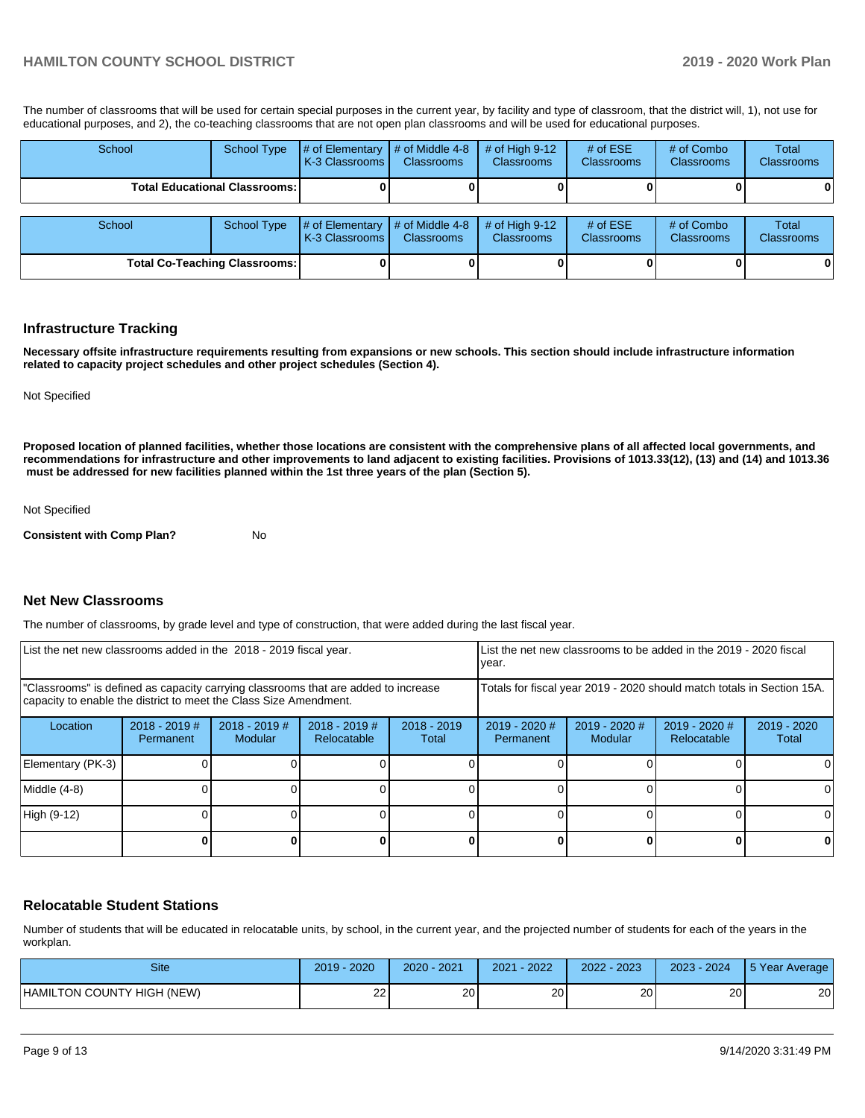The number of classrooms that will be used for certain special purposes in the current year, by facility and type of classroom, that the district will, 1), not use for educational purposes, and 2), the co-teaching classrooms that are not open plan classrooms and will be used for educational purposes.

| School | <b>School Type</b>                   | # of Elementary<br>K-3 Classrooms I | $\parallel$ # of Middle 4-8<br><b>Classrooms</b> | # of High $9-12$<br><b>Classrooms</b> | # of $ESE$<br><b>Classrooms</b> | # of Combo<br><b>Classrooms</b> | <b>Total</b><br>Classrooms |
|--------|--------------------------------------|-------------------------------------|--------------------------------------------------|---------------------------------------|---------------------------------|---------------------------------|----------------------------|
|        | <b>Total Educational Classrooms:</b> |                                     |                                                  |                                       |                                 |                                 | 0                          |
|        |                                      |                                     |                                                  |                                       |                                 |                                 |                            |
| School | <b>School Type</b>                   | # of Elementary<br>K-3 Classrooms I | $#$ of Middle 4-8<br><b>Classrooms</b>           | $#$ of High 9-12<br><b>Classrooms</b> | # of $ESE$<br><b>Classrooms</b> | # of Combo<br><b>Classrooms</b> | <b>Total</b><br>Classrooms |
|        | <b>Total Co-Teaching Classrooms:</b> |                                     |                                                  |                                       |                                 |                                 | 0                          |

#### **Infrastructure Tracking**

**Necessary offsite infrastructure requirements resulting from expansions or new schools. This section should include infrastructure information related to capacity project schedules and other project schedules (Section 4).** 

Not Specified

**Proposed location of planned facilities, whether those locations are consistent with the comprehensive plans of all affected local governments, and recommendations for infrastructure and other improvements to land adjacent to existing facilities. Provisions of 1013.33(12), (13) and (14) and 1013.36 must be addressed for new facilities planned within the 1st three years of the plan (Section 5).** 

Not Specified

**Consistent with Comp Plan?** No

## **Net New Classrooms**

The number of classrooms, by grade level and type of construction, that were added during the last fiscal year.

| List the net new classrooms added in the 2018 - 2019 fiscal year.                                                                                       |                              |                                   |                                |                        | List the net new classrooms to be added in the 2019 - 2020 fiscal<br>year. |                                   |                              |                      |
|---------------------------------------------------------------------------------------------------------------------------------------------------------|------------------------------|-----------------------------------|--------------------------------|------------------------|----------------------------------------------------------------------------|-----------------------------------|------------------------------|----------------------|
| "Classrooms" is defined as capacity carrying classrooms that are added to increase<br>capacity to enable the district to meet the Class Size Amendment. |                              |                                   |                                |                        | Totals for fiscal year 2019 - 2020 should match totals in Section 15A.     |                                   |                              |                      |
| Location                                                                                                                                                | $2018 - 2019$ #<br>Permanent | $2018 - 2019$ #<br><b>Modular</b> | $2018 - 2019$ #<br>Relocatable | $2018 - 2019$<br>Total | $2019 - 2020$ #<br><b>Permanent</b>                                        | $2019 - 2020$ #<br><b>Modular</b> | 2019 - 2020 #<br>Relocatable | 2019 - 2020<br>Total |
| Elementary (PK-3)                                                                                                                                       |                              |                                   |                                |                        |                                                                            |                                   |                              |                      |
| Middle (4-8)                                                                                                                                            |                              |                                   |                                |                        |                                                                            |                                   |                              | ΩI                   |
| High (9-12)                                                                                                                                             |                              |                                   |                                |                        |                                                                            |                                   |                              |                      |
|                                                                                                                                                         |                              |                                   |                                |                        |                                                                            |                                   | 0                            | 0                    |

## **Relocatable Student Stations**

Number of students that will be educated in relocatable units, by school, in the current year, and the projected number of students for each of the years in the workplan.

| Site                       | 2020<br>$2019 -$ | 2021<br>$2020 -$ | $-2022$<br>2021 | 2022 - 2023 | $2023 - 2024$ | 5 Year Average |
|----------------------------|------------------|------------------|-----------------|-------------|---------------|----------------|
| HAMILTON COUNTY HIGH (NEW) | $\sim$<br>__     | 20               | 20              | 20          | 20            | 20             |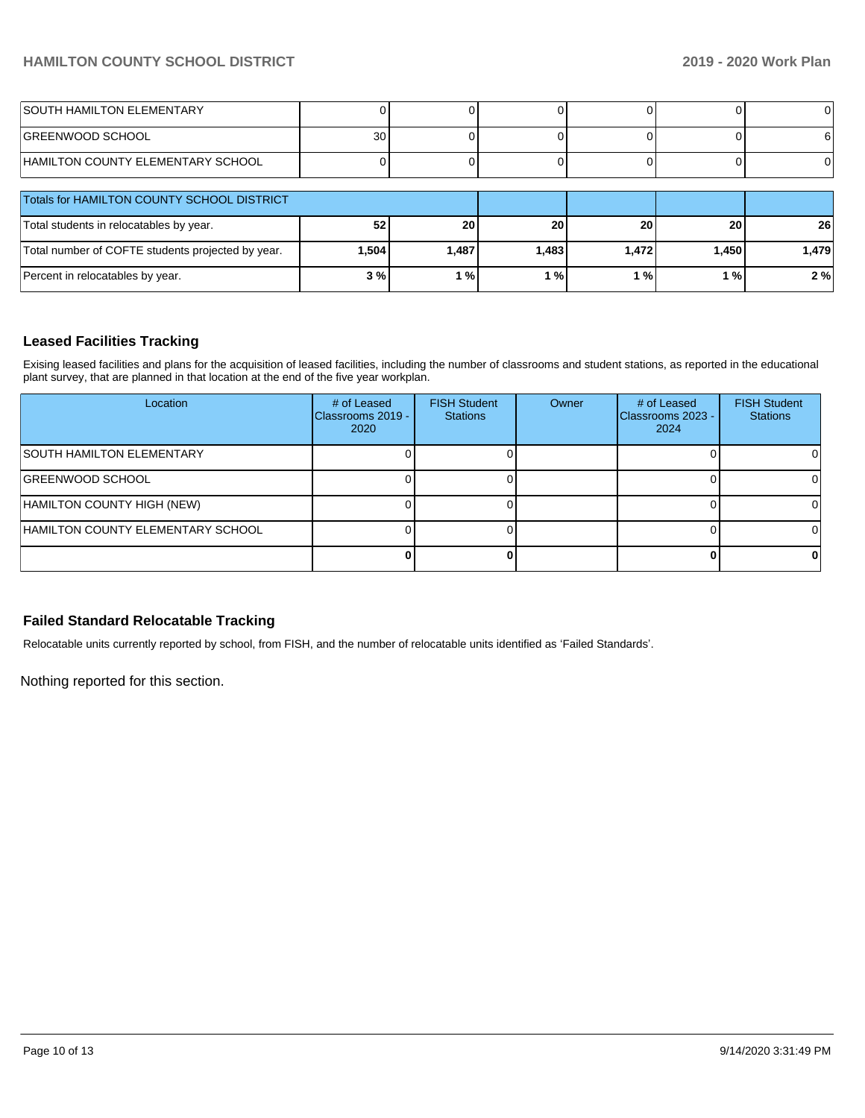| <b>SOUTH HAMILTON ELEMENTARY</b>                  |       |                         |       |       |       |                 |
|---------------------------------------------------|-------|-------------------------|-------|-------|-------|-----------------|
| <b>IGREENWOOD SCHOOL</b>                          | 30    |                         |       |       |       |                 |
| HAMILTON COUNTY ELEMENTARY SCHOOL                 |       |                         |       |       |       |                 |
| Totals for HAMILTON COUNTY SCHOOL DISTRICT        |       |                         |       |       |       |                 |
| Total students in relocatables by year.           | 52    | 20                      | 20    | 20    | 20    | 26 <sub>1</sub> |
| Total number of COFTE students projected by year. | 1,504 | 1,487                   | 1.483 | 1,472 | 1,450 | 1,479           |
| Percent in relocatables by year.                  | 3%    | $^{\circ}$ % $^{\circ}$ | ് %   | 1%    | ∣%    | 2%              |

## **Leased Facilities Tracking**

Exising leased facilities and plans for the acquisition of leased facilities, including the number of classrooms and student stations, as reported in the educational plant survey, that are planned in that location at the end of the five year workplan.

| Location                          | # of Leased<br>Classrooms 2019 -<br>2020 | <b>FISH Student</b><br><b>Stations</b> | Owner | # of Leased<br>Classrooms 2023 -<br>2024 | <b>FISH Student</b><br><b>Stations</b> |
|-----------------------------------|------------------------------------------|----------------------------------------|-------|------------------------------------------|----------------------------------------|
| <b>SOUTH HAMILTON ELEMENTARY</b>  |                                          |                                        |       |                                          |                                        |
| <b>GREENWOOD SCHOOL</b>           |                                          |                                        |       |                                          |                                        |
| HAMILTON COUNTY HIGH (NEW)        |                                          |                                        |       |                                          |                                        |
| HAMILTON COUNTY ELEMENTARY SCHOOL |                                          |                                        |       |                                          |                                        |
|                                   |                                          |                                        |       |                                          |                                        |

## **Failed Standard Relocatable Tracking**

Relocatable units currently reported by school, from FISH, and the number of relocatable units identified as 'Failed Standards'.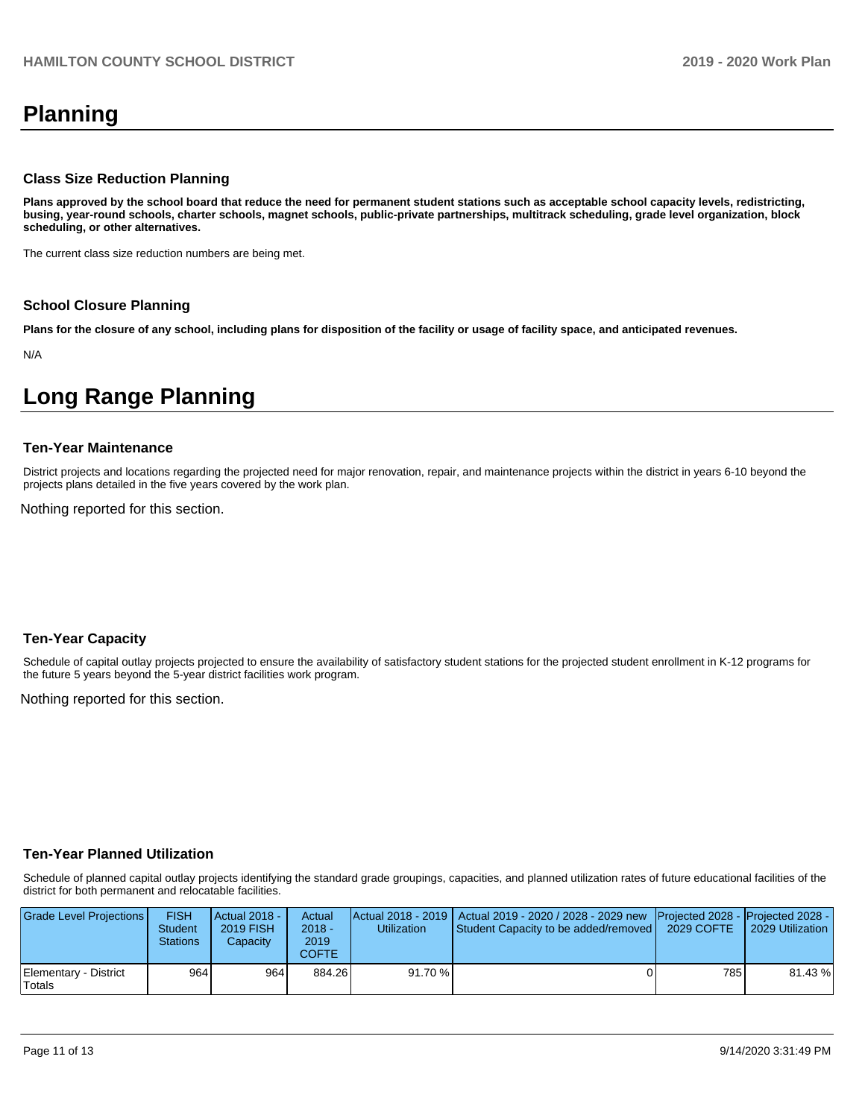# **Planning**

#### **Class Size Reduction Planning**

**Plans approved by the school board that reduce the need for permanent student stations such as acceptable school capacity levels, redistricting, busing, year-round schools, charter schools, magnet schools, public-private partnerships, multitrack scheduling, grade level organization, block scheduling, or other alternatives.**

The current class size reduction numbers are being met.

#### **School Closure Planning**

**Plans for the closure of any school, including plans for disposition of the facility or usage of facility space, and anticipated revenues.** 

N/A

## **Long Range Planning**

#### **Ten-Year Maintenance**

District projects and locations regarding the projected need for major renovation, repair, and maintenance projects within the district in years 6-10 beyond the projects plans detailed in the five years covered by the work plan.

Nothing reported for this section.

## **Ten-Year Capacity**

Schedule of capital outlay projects projected to ensure the availability of satisfactory student stations for the projected student enrollment in K-12 programs for the future 5 years beyond the 5-year district facilities work program.

Nothing reported for this section.

## **Ten-Year Planned Utilization**

Schedule of planned capital outlay projects identifying the standard grade groupings, capacities, and planned utilization rates of future educational facilities of the district for both permanent and relocatable facilities.

| Grade Level Projections         | <b>FISH</b><br><b>Student</b><br><b>Stations</b> | Actual 2018 -<br>2019 FISH<br>Capacity | Actual<br>$2018 -$<br>2019<br>COFTE | Utilization | Actual 2018 - 2019   Actual 2019 - 2020 / 2028 - 2029 new   Projected 2028 -   Projected 2028 -<br>Student Capacity to be added/removed | 2029 COFTE | 2029 Utilization |
|---------------------------------|--------------------------------------------------|----------------------------------------|-------------------------------------|-------------|-----------------------------------------------------------------------------------------------------------------------------------------|------------|------------------|
| Elementary - District<br>Totals | 964                                              | 9641                                   | 884.26                              | 91.70%      |                                                                                                                                         | 785 I      | 81.43%           |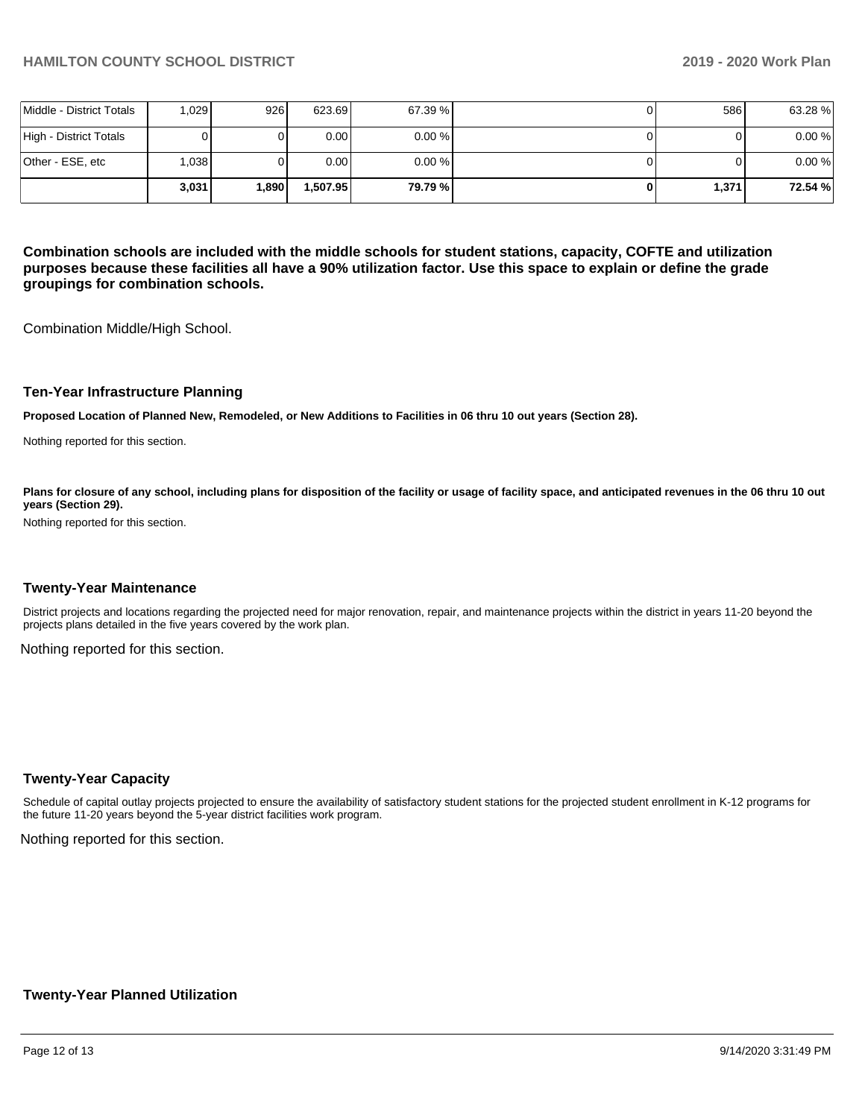|                          | 3.031 | 1.890 | 1.507.95          | 79.79 %   | 1,371 | 72.54 % |
|--------------------------|-------|-------|-------------------|-----------|-------|---------|
| Other - ESE, etc         | 0.038 |       | 0.00 <sub>l</sub> | $0.00 \%$ |       | 0.00%   |
| High - District Totals   |       |       | 0.00 <sub>l</sub> | $0.00 \%$ |       | 0.00%   |
| Middle - District Totals | 1,029 | 926   | 623.69            | 67.39 %   | 586   | 63.28%  |

**Combination schools are included with the middle schools for student stations, capacity, COFTE and utilization purposes because these facilities all have a 90% utilization factor. Use this space to explain or define the grade groupings for combination schools.** 

Combination Middle/High School.

#### **Ten-Year Infrastructure Planning**

**Proposed Location of Planned New, Remodeled, or New Additions to Facilities in 06 thru 10 out years (Section 28).**

Nothing reported for this section.

Plans for closure of any school, including plans for disposition of the facility or usage of facility space, and anticipated revenues in the 06 thru 10 out **years (Section 29).**

Nothing reported for this section.

#### **Twenty-Year Maintenance**

District projects and locations regarding the projected need for major renovation, repair, and maintenance projects within the district in years 11-20 beyond the projects plans detailed in the five years covered by the work plan.

Nothing reported for this section.

#### **Twenty-Year Capacity**

Schedule of capital outlay projects projected to ensure the availability of satisfactory student stations for the projected student enrollment in K-12 programs for the future 11-20 years beyond the 5-year district facilities work program.

Nothing reported for this section.

## **Twenty-Year Planned Utilization**